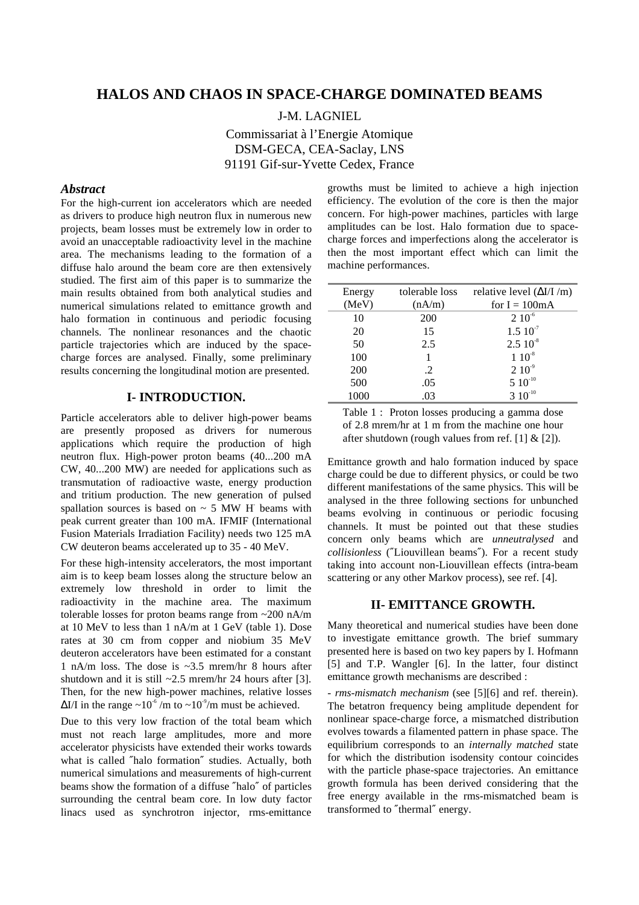# **HALOS AND CHAOS IN SPACE-CHARGE DOMINATED BEAMS**

J-M. LAGNIEL

Commissariat à l'Energie Atomique DSM-GECA, CEA-Saclay, LNS 91191 Gif-sur-Yvette Cedex, France

#### *Abstract*

For the high-current ion accelerators which are needed as drivers to produce high neutron flux in numerous new projects, beam losses must be extremely low in order to avoid an unacceptable radioactivity level in the machine area. The mechanisms leading to the formation of a diffuse halo around the beam core are then extensively studied. The first aim of this paper is to summarize the main results obtained from both analytical studies and numerical simulations related to emittance growth and halo formation in continuous and periodic focusing channels. The nonlinear resonances and the chaotic particle trajectories which are induced by the spacecharge forces are analysed. Finally, some preliminary results concerning the longitudinal motion are presented.

# **I- INTRODUCTION.**

Particle accelerators able to deliver high-power beams are presently proposed as drivers for numerous applications which require the production of high neutron flux. High-power proton beams (40...200 mA CW, 40...200 MW) are needed for applications such as transmutation of radioactive waste, energy production and tritium production. The new generation of pulsed spallation sources is based on  $\sim$  5 MW H beams with peak current greater than 100 mA. IFMIF (International Fusion Materials Irradiation Facility) needs two 125 mA CW deuteron beams accelerated up to 35 - 40 MeV.

For these high-intensity accelerators, the most important aim is to keep beam losses along the structure below an extremely low threshold in order to limit the radioactivity in the machine area. The maximum tolerable losses for proton beams range from ~200 nA/m at 10 MeV to less than 1 nA/m at 1 GeV (table 1). Dose rates at 30 cm from copper and niobium 35 MeV deuteron accelerators have been estimated for a constant 1 nA/m loss. The dose is ~3.5 mrem/hr 8 hours after shutdown and it is still  $\sim$ 2.5 mrem/hr 24 hours after [3]. Then, for the new high-power machines, relative losses  $\Delta I/I$  in the range ~10<sup>-6</sup>/m to ~10<sup>-9</sup>/m must be achieved.

Due to this very low fraction of the total beam which must not reach large amplitudes, more and more accelerator physicists have extended their works towards what is called ″halo formation″ studies. Actually, both numerical simulations and measurements of high-current beams show the formation of a diffuse ″halo″ of particles surrounding the central beam core. In low duty factor linacs used as synchrotron injector, rms-emittance

growths must be limited to achieve a high injection efficiency. The evolution of the core is then the major concern. For high-power machines, particles with large amplitudes can be lost. Halo formation due to spacecharge forces and imperfections along the accelerator is then the most important effect which can limit the machine performances.

| Energy | tolerable loss | relative level $(\Delta I/I/m)$ |
|--------|----------------|---------------------------------|
| (MeV)  | (nA/m)         | for $I = 100mA$                 |
| 10     | <b>200</b>     | $210^{-6}$                      |
| 20     | 15             | $1.510^{7}$                     |
| 50     | 2.5            | $2.510^{8}$                     |
| 100    |                | $1~10^{-8}$                     |
| 200    | .2             | $2 10^{-9}$                     |
| 500    | .05            | $5 10^{-10}$                    |
| 1000   | .03            | $3\,10^{-10}$                   |

Table 1 : Proton losses producing a gamma dose of 2.8 mrem/hr at 1 m from the machine one hour after shutdown (rough values from ref. [1]  $&$  [2]).

Emittance growth and halo formation induced by space charge could be due to different physics, or could be two different manifestations of the same physics. This will be analysed in the three following sections for unbunched beams evolving in continuous or periodic focusing channels. It must be pointed out that these studies concern only beams which are *unneutralysed* and *collisionless* (″Liouvillean beams″). For a recent study taking into account non-Liouvillean effects (intra-beam scattering or any other Markov process), see ref. [4].

## **II- EMITTANCE GROWTH.**

Many theoretical and numerical studies have been done to investigate emittance growth. The brief summary presented here is based on two key papers by I. Hofmann [5] and T.P. Wangler [6]. In the latter, four distinct emittance growth mechanisms are described :

- *rms-mismatch mechanism* (see [5][6] and ref. therein). The betatron frequency being amplitude dependent for nonlinear space-charge force, a mismatched distribution evolves towards a filamented pattern in phase space. The equilibrium corresponds to an *internally matched* state for which the distribution isodensity contour coincides with the particle phase-space trajectories. An emittance growth formula has been derived considering that the free energy available in the rms-mismatched beam is transformed to ″thermal″ energy.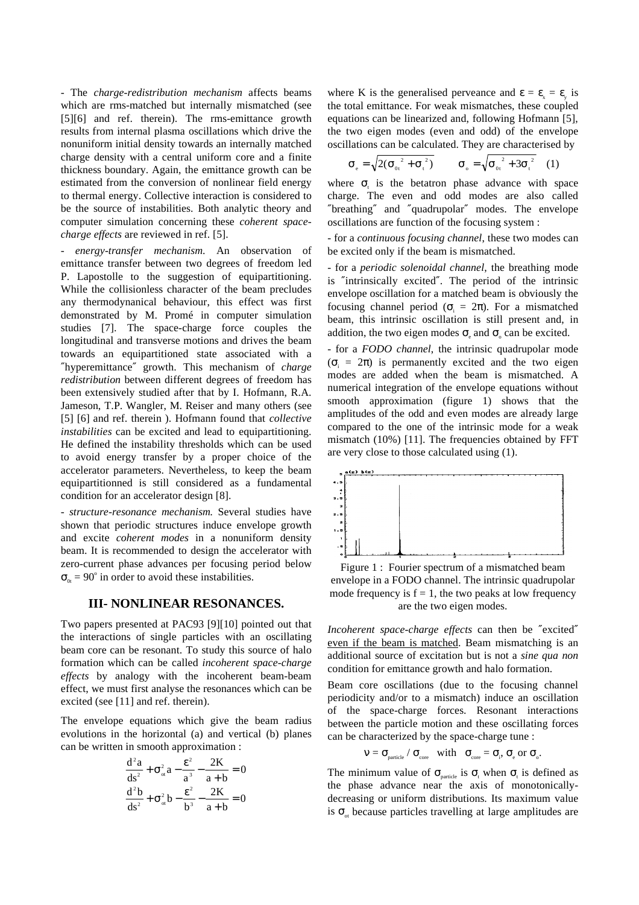- The *charge-redistribution mechanism* affects beams which are rms-matched but internally mismatched (see [5][6] and ref. therein). The rms-emittance growth results from internal plasma oscillations which drive the nonuniform initial density towards an internally matched charge density with a central uniform core and a finite thickness boundary. Again, the emittance growth can be estimated from the conversion of nonlinear field energy to thermal energy. Collective interaction is considered to be the source of instabilities. Both analytic theory and computer simulation concerning these *coherent spacecharge effects* are reviewed in ref. [5].

- *energy-transfer mechanism*. An observation of emittance transfer between two degrees of freedom led P. Lapostolle to the suggestion of equipartitioning. While the collisionless character of the beam precludes any thermodynanical behaviour, this effect was first demonstrated by M. Promé in computer simulation studies [7]. The space-charge force couples the longitudinal and transverse motions and drives the beam towards an equipartitioned state associated with a ″hyperemittance″ growth. This mechanism of *charge redistribution* between different degrees of freedom has been extensively studied after that by I. Hofmann, R.A. Jameson, T.P. Wangler, M. Reiser and many others (see [5] [6] and ref. therein ). Hofmann found that *collective instabilities* can be excited and lead to equipartitioning. He defined the instability thresholds which can be used to avoid energy transfer by a proper choice of the accelerator parameters. Nevertheless, to keep the beam equipartitionned is still considered as a fundamental condition for an accelerator design [8].

- *structure-resonance mechanism.* Several studies have shown that periodic structures induce envelope growth and excite *coherent modes* in a nonuniform density beam. It is recommended to design the accelerator with zero-current phase advances per focusing period below  $\sigma_{0t} = 90^\circ$  in order to avoid these instabilities.

### **III- NONLINEAR RESONANCES.**

Two papers presented at PAC93 [9][10] pointed out that the interactions of single particles with an oscillating beam core can be resonant. To study this source of halo formation which can be called *incoherent space-charge effects* by analogy with the incoherent beam-beam effect, we must first analyse the resonances which can be excited (see [11] and ref. therein).

The envelope equations which give the beam radius evolutions in the horizontal (a) and vertical (b) planes can be written in smooth approximation :

$$
\frac{d^2a}{ds^2} + \sigma_{\alpha}^2 a - \frac{\varepsilon^2}{a^3} - \frac{2K}{a+b} = 0
$$
  

$$
\frac{d^2b}{ds^2} + \sigma_{\alpha}^2 b - \frac{\varepsilon^2}{b^3} - \frac{2K}{a+b} = 0
$$

where K is the generalised perveance and  $\epsilon = \epsilon_{\gamma} = \epsilon_{\gamma}$  is the total emittance. For weak mismatches, these coupled equations can be linearized and, following Hofmann [5], the two eigen modes (even and odd) of the envelope oscillations can be calculated. They are characterised by

$$
\sigma_{\rm e} = \sqrt{2(\sigma_{\rm 0t}^2 + \sigma_{\rm t}^2)} \qquad \sigma_{\rm o} = \sqrt{\sigma_{\rm 0t}^2 + 3\sigma_{\rm t}^2} \quad (1)
$$

where  $\sigma_{t}$  is the betatron phase advance with space charge. The even and odd modes are also called ″breathing″ and ″quadrupolar″ modes. The envelope oscillations are function of the focusing system :

- for a *continuous focusing channel*, these two modes can be excited only if the beam is mismatched.

- for a *periodic solenoidal channel*, the breathing mode is ″intrinsically excited″. The period of the intrinsic envelope oscillation for a matched beam is obviously the focusing channel period ( $\sigma$ <sub>i</sub> =  $2\pi$ ). For a mismatched beam, this intrinsic oscillation is still present and, in addition, the two eigen modes  $\sigma_{\rm e}$  and  $\sigma_{\rm o}$  can be excited.

- for a *FODO channel*, the intrinsic quadrupolar mode  $(\sigma_i = 2\pi)$  is permanently excited and the two eigen modes are added when the beam is mismatched. A numerical integration of the envelope equations without smooth approximation (figure 1) shows that the amplitudes of the odd and even modes are already large compared to the one of the intrinsic mode for a weak mismatch (10%) [11]. The frequencies obtained by FFT are very close to those calculated using (1).



Figure 1 : Fourier spectrum of a mismatched beam envelope in a FODO channel. The intrinsic quadrupolar mode frequency is  $f = 1$ , the two peaks at low frequency are the two eigen modes.

*Incoherent space-charge effects* can then be ″excited″ even if the beam is matched. Beam mismatching is an additional source of excitation but is not a *sine qua non* condition for emittance growth and halo formation.

Beam core oscillations (due to the focusing channel periodicity and/or to a mismatch) induce an oscillation of the space-charge forces. Resonant interactions between the particle motion and these oscillating forces can be characterized by the space-charge tune :

$$
\nu = \sigma_{\text{particle}} / \sigma_{\text{core}} \quad \text{with} \quad \sigma_{\text{core}} = \sigma_{\text{i}}, \sigma_{\text{e}} \text{ or } \sigma_{\text{o}}.
$$

The minimum value of  $\sigma_{\text{particle}}$  is  $\sigma_{\text{t}}$  when  $\sigma_{\text{t}}$  is defined as the phase advance near the axis of monotonicallydecreasing or uniform distributions. Its maximum value is  $\sigma_{\alpha}$  because particles travelling at large amplitudes are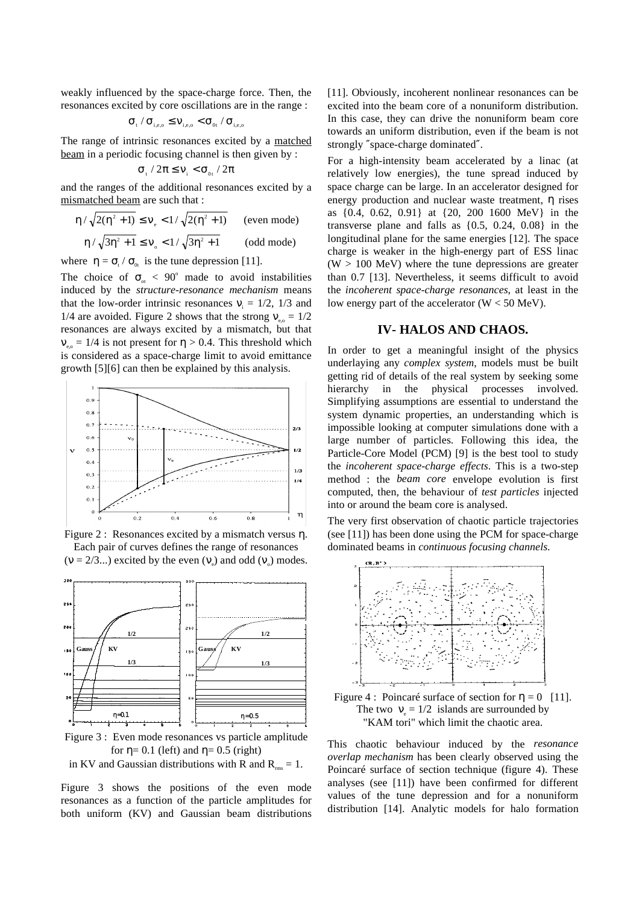weakly influenced by the space-charge force. Then, the resonances excited by core oscillations are in the range :

$$
\sigma_{_{t}}\,/\,\sigma_{_{i,e,o}}\leq \nu_{_{i,e,o}}<\sigma_{_{0t}}\,/\,\sigma_{_{i,e,o}}
$$

The range of intrinsic resonances excited by a matched beam in a periodic focusing channel is then given by :

$$
\sigma_{\rm t}/2\pi \leq v_{\rm i} < \sigma_{\rm 0t}/2\pi
$$

and the ranges of the additional resonances excited by a mismatched beam are such that :

$$
\eta / \sqrt{2(\eta^2 + 1)} \le \nu_e < 1 / \sqrt{2(\eta^2 + 1)}
$$
 (even mode)  

$$
\eta / \sqrt{3\eta^2 + 1} \le \nu_e < 1 / \sqrt{3\eta^2 + 1}
$$
 (odd mode)

where  $\eta = \sigma_t / \sigma_{0t}$  is the tune depression [11].

The choice of  $\sigma_{\alpha}$  < 90° made to avoid instabilities induced by the *structure-resonance mechanism* means that the low-order intrinsic resonances  $v_i = 1/2$ , 1/3 and 1/4 are avoided. Figure 2 shows that the strong  $v_{0.0} = 1/2$ resonances are always excited by a mismatch, but that  $v_{\text{eq}} = 1/4$  is not present for  $\eta > 0.4$ . This threshold which is considered as a space-charge limit to avoid emittance growth [5][6] can then be explained by this analysis.



Figure 2 : Resonances excited by a mismatch versus η. Each pair of curves defines the range of resonances  $(v = 2/3...)$  excited by the even  $(v_e)$  and odd  $(v_o)$  modes.



Figure 3 : Even mode resonances vs particle amplitude for  $\eta$ = 0.1 (left) and  $\eta$ = 0.5 (right)

in KV and Gaussian distributions with R and  $R_{rms} = 1$ .

Figure 3 shows the positions of the even mode resonances as a function of the particle amplitudes for both uniform (KV) and Gaussian beam distributions

[11]. Obviously, incoherent nonlinear resonances can be excited into the beam core of a nonuniform distribution. In this case, they can drive the nonuniform beam core towards an uniform distribution, even if the beam is not strongly ″space-charge dominated″.

For a high-intensity beam accelerated by a linac (at relatively low energies), the tune spread induced by space charge can be large. In an accelerator designed for energy production and nuclear waste treatment, η rises as {0.4, 0.62, 0.91} at {20, 200 1600 MeV} in the transverse plane and falls as {0.5, 0.24, 0.08} in the longitudinal plane for the same energies [12]. The space charge is weaker in the high-energy part of ESS linac  $(W > 100$  MeV) where the tune depressions are greater than 0.7 [13]. Nevertheless, it seems difficult to avoid the *incoherent space-charge resonances*, at least in the low energy part of the accelerator  $(W < 50 \text{ MeV})$ .

### **IV- HALOS AND CHAOS.**

In order to get a meaningful insight of the physics underlaying any *complex system*, models must be built getting rid of details of the real system by seeking some hierarchy in the physical processes involved. Simplifying assumptions are essential to understand the system dynamic properties, an understanding which is impossible looking at computer simulations done with a large number of particles. Following this idea, the Particle-Core Model (PCM) [9] is the best tool to study the *incoherent space-charge effects*. This is a two-step method : the *beam core* envelope evolution is first computed, then, the behaviour of *test particles* injected into or around the beam core is analysed.

The very first observation of chaotic particle trajectories (see [11]) has been done using the PCM for space-charge dominated beams in *continuous focusing channels*.



This chaotic behaviour induced by the *resonance overlap mechanism* has been clearly observed using the Poincaré surface of section technique (figure 4). These analyses (see [11]) have been confirmed for different values of the tune depression and for a nonuniform distribution [14]. Analytic models for halo formation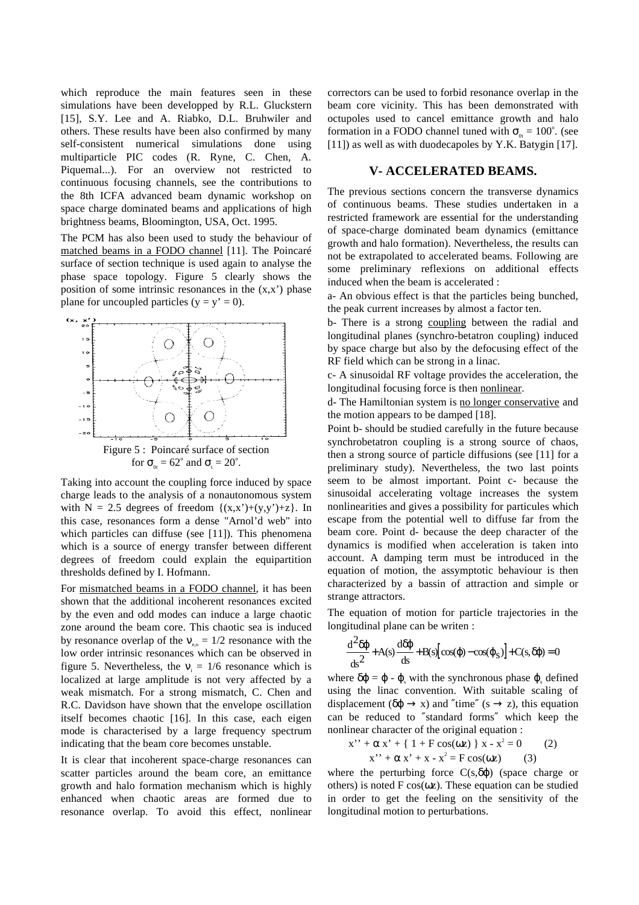which reproduce the main features seen in these simulations have been developped by R.L. Gluckstern [15], S.Y. Lee and A. Riabko, D.L. Bruhwiler and others. These results have been also confirmed by many self-consistent numerical simulations done using multiparticle PIC codes (R. Ryne, C. Chen, A. Piquemal...). For an overview not restricted to continuous focusing channels, see the contributions to the 8th ICFA advanced beam dynamic workshop on space charge dominated beams and applications of high brightness beams, Bloomington, USA, Oct. 1995.

The PCM has also been used to study the behaviour of matched beams in a FODO channel [11]. The Poincaré surface of section technique is used again to analyse the phase space topology. Figure 5 clearly shows the position of some intrinsic resonances in the  $(x,x')$  phase plane for uncoupled particles  $(y = y' = 0)$ .



Taking into account the coupling force induced by space charge leads to the analysis of a nonautonomous system with  $N = 2.5$  degrees of freedom  $\{(x,x')+(y,y')+z\}$ . In this case, resonances form a dense "Arnol'd web" into which particles can diffuse (see [11]). This phenomena which is a source of energy transfer between different degrees of freedom could explain the equipartition thresholds defined by I. Hofmann.

For mismatched beams in a FODO channel, it has been shown that the additional incoherent resonances excited by the even and odd modes can induce a large chaotic zone around the beam core. This chaotic sea is induced by resonance overlap of the  $v_{\text{eq}} = 1/2$  resonance with the low order intrinsic resonances which can be observed in figure 5. Nevertheless, the  $v_i = 1/6$  resonance which is localized at large amplitude is not very affected by a weak mismatch. For a strong mismatch, C. Chen and R.C. Davidson have shown that the envelope oscillation itself becomes chaotic [16]. In this case, each eigen mode is characterised by a large frequency spectrum indicating that the beam core becomes unstable.

It is clear that incoherent space-charge resonances can scatter particles around the beam core, an emittance growth and halo formation mechanism which is highly enhanced when chaotic areas are formed due to resonance overlap. To avoid this effect, nonlinear correctors can be used to forbid resonance overlap in the beam core vicinity. This has been demonstrated with octupoles used to cancel emittance growth and halo formation in a FODO channel tuned with  $\sigma_{0t} = 100^{\circ}$ . (see [11]) as well as with duodecapoles by Y.K. Batygin [17].

## **V- ACCELERATED BEAMS.**

The previous sections concern the transverse dynamics of continuous beams. These studies undertaken in a restricted framework are essential for the understanding of space-charge dominated beam dynamics (emittance growth and halo formation). Nevertheless, the results can not be extrapolated to accelerated beams. Following are some preliminary reflexions on additional effects induced when the beam is accelerated :

a- An obvious effect is that the particles being bunched, the peak current increases by almost a factor ten.

b- There is a strong coupling between the radial and longitudinal planes (synchro-betatron coupling) induced by space charge but also by the defocusing effect of the RF field which can be strong in a linac.

c- A sinusoidal RF voltage provides the acceleration, the longitudinal focusing force is then nonlinear.

d- The Hamiltonian system is no longer conservative and the motion appears to be damped [18].

Point b- should be studied carefully in the future because synchrobetatron coupling is a strong source of chaos, then a strong source of particle diffusions (see [11] for a preliminary study). Nevertheless, the two last points seem to be almost important. Point c- because the sinusoidal accelerating voltage increases the system nonlinearities and gives a possibility for particules which escape from the potential well to diffuse far from the beam core. Point d- because the deep character of the dynamics is modified when acceleration is taken into account. A damping term must be introduced in the equation of motion, the assymptotic behaviour is then characterized by a bassin of attraction and simple or strange attractors.

The equation of motion for particle trajectories in the longitudinal plane can be writen :

$$
\frac{d^2 \delta \varphi}{ds^2} + A(s) \frac{d \delta \varphi}{ds} + B(s) \Big[ \cos(\varphi) - \cos(\varphi_s) \Big] + C(s, \delta \varphi) = 0
$$

where  $\delta \varphi = \varphi \cdot \varphi_s$  with the synchronous phase  $\varphi_s$  defined using the linac convention. With suitable scaling of displacement ( $\delta \varphi \rightarrow x$ ) and "time" (s  $\rightarrow z$ ), this equation can be reduced to ″standard forms″ which keep the nonlinear character of the original equation :

$$
x'' + \alpha x' + \{ 1 + F \cos(\omega z) \} x - x^2 = 0 \qquad (2)
$$
  

$$
x'' + \alpha x' + x - x^2 = F \cos(\omega z) \qquad (3)
$$

where the perturbing force  $C(s,\delta\phi)$  (space charge or others) is noted  $F \cos(\omega z)$ . These equation can be studied in order to get the feeling on the sensitivity of the longitudinal motion to perturbations.